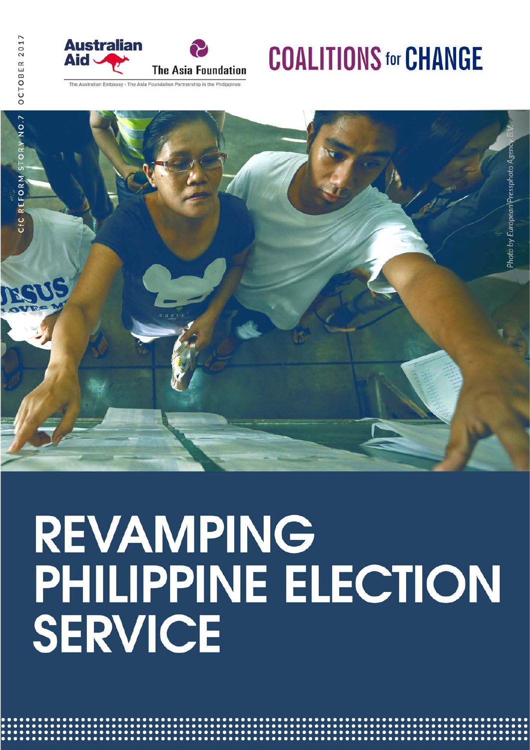

### **COALITIONS for CHANGE**

The Australian Embassy - The Asia Foundation Partnership in the Philippines



# **REVAMPING** PHILIPPINE ELECTION<br>SERVICE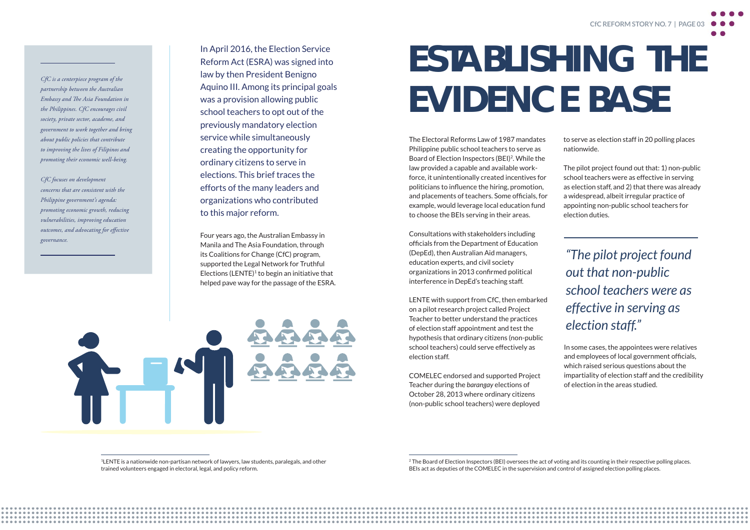

<sup>1</sup>LENTE is a nationwide non-partisan network of lawyers, law students, paralegals, and other trained volunteers engaged in electoral, legal, and policy reform.

In April 2016, the Election Service Reform Act (ESRA) was signed into law by then President Benigno Aquino III. Among its principal goals was a provision allowing public school teachers to opt out of the previously mandatory election service while simultaneously creating the opportunity for ordinary citizens to serve in elections. This brief traces the efforts of the many leaders and organizations who contributed to this major reform.

Four years ago, the Australian Embassy in Manila and The Asia Foundation, through its Coalitions for Change (CfC) program, supported the Legal Network for Truthful Elections  $(LENTE)^1$  to begin an initiative that helped pave way for the passage of the ESRA.

<sup>2</sup> The Board of Election Inspectors (BEI) oversees the act of voting and its counting in their respective polling places. BEIs act as deputies of the COMELEC in the supervision and control of assigned election polling places.

*CfC is a centerpiece program of the partnership between the Australian Embassy and The Asia Foundation in the Philippines. CfC encourages civil society, private sector, academe, and government to work together and bring about public policies that contribute to improving the lives of Filipinos and promoting their economic well-being.* 

*CfC focuses on development concerns that are consistent with the Philippine government's agenda: promoting economic growth, reducing vulnerabilities, improving education outcomes, and advocating for effective governance.* 

The Electoral Reforms Law of 1987 mandates Philippine public school teachers to serve as Board of Election Inspectors (BEI)2. While the law provided a capable and available workforce, it unintentionally created incentives for politicians to influence the hiring, promotion, and placements of teachers. Some officials, for example, would leverage local education fund to choose the BEIs serving in their areas.

Consultations with stakeholders including officials from the Department of Education (DepEd), then Australian Aid managers, education experts, and civil society organizations in 2013 confirmed political interference in DepEd's teaching staff.

LENTE with support from CfC, then embarked on a pilot research project called Project Teacher to better understand the practices of election staff appointment and test the hypothesis that ordinary citizens (non-public school teachers) could serve effectively as election staff.

COMELEC endorsed and supported Project Teacher during the *barangay* elections of October 28, 2013 where ordinary citizens (non-public school teachers) were deployed

## ESTABLISHING THE EVIDENCE BASE

to serve as election staff in 20 polling places nationwide.

The pilot project found out that: 1) non-public school teachers were as effective in serving as election staff, and 2) that there was already a widespread, albeit irregular practice of appointing non-public school teachers for election duties.

*"The pilot project found out that non-public school teachers were as effective in serving as election staff. "*

In some cases, the appointees were relatives and employees of local government officials, which raised serious questions about the impartiality of election staff and the credibility of election in the areas studied.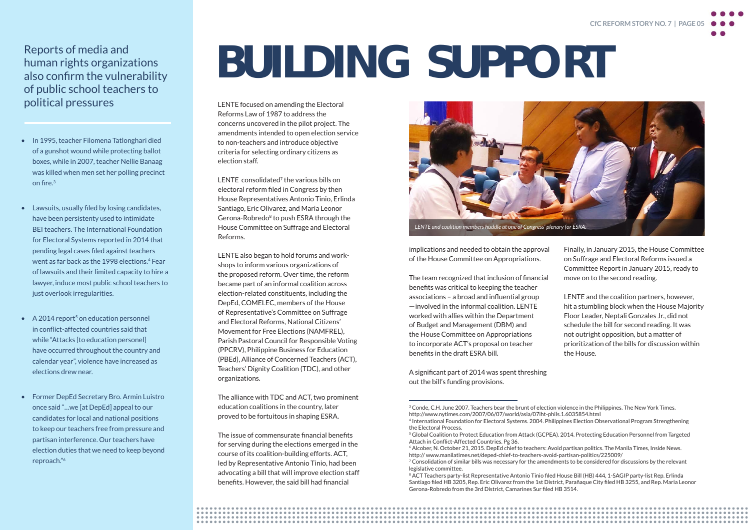Finally, in January 2015, the House Committee on Suffrage and Electoral Reforms issued a Committee Report in January 2015, ready to move on to the second reading.

LENTE and the coalition partners, however, hit a stumbling block when the House Majority Floor Leader, Neptali Gonzales Jr., did not schedule the bill for second reading. It was not outright opposition, but a matter of prioritization of the bills for discussion within the House.

### Reports of media and human rights organizations also confirm the vulnerability of public school teachers to political pressures

- In 1995, teacher Filomena Tatlonghari died of a gunshot wound while protecting ballot boxes, while in 2007, teacher Nellie Banaag was killed when men set her polling precinct on fire.<sup>3</sup>
- Lawsuits, usually filed by losing candidates, have been persistenty used to intimidate BEI teachers. The International Foundation for Electoral Systems reported in 2014 that pending legal cases filed against teachers went as far back as the 1998 elections.<sup>4</sup> Fear of lawsuits and their limited capacity to hire a lawyer, induce most public school teachers to just overlook irregularities.
- $\triangle$  A 2014 report<sup>5</sup> on education personnel in conflict-affected countries said that while "Attacks [to education personel] have occurred throughout the country and calendar year", violence have increased as elections drew near.
- Former DepEd Secretary Bro. Armin Luistro once said "…we [at DepEd] appeal to our candidates for local and national positions to keep our teachers free from pressure and partisan interference. Our teachers have election duties that we need to keep beyond reproach."6

LENTE consolidated<sup>7</sup> the various bills on electoral reform filed in Congress by then House Representatives Antonio Tinio, Erlinda Santiago, Eric Olivarez, and Maria Leonor Gerona-Robredo<sup>8</sup> to push ESRA through the House Committee on Suffrage and Electoral Reforms.

> implications and needed to obtain the approval of the House Committee on Appropriations.

The team recognized that inclusion of financial benefits was critical to keeping the teacher associations – a broad and influential group  $-$  involved in the informal coalition. LENTE worked with allies within the Department of Budget and Management (DBM) and the House Committee on Appropriations to incorporate ACT's proposal on teacher benefits in the draft ESRA bill.

A significant part of 2014 was spent threshing out the bill's funding provisions.

LENTE focused on amending the Electoral Reforms Law of 1987 to address the concerns uncovered in the pilot project. The amendments intended to open election service to non-teachers and introduce objective criteria for selecting ordinary citizens as election staff.

> <sup>8</sup> ACT Teachers party-list Representative Antonio Tinio filed House Bill (HB) 444, 1-SAGIP party-list Rep. Erlinda Santiago filed HB 3205, Rep. Eric Olivarez from the 1st District, Parañaque City filed HB 3255, and Rep. Maria Leonor Gerona-Robredo from the 3rd District, Camarines Sur filed HB 3514.

LENTE also began to hold forums and workshops to inform various organizations of the proposed reform. Over time, the reform became part of an informal coalition across election-related constituents, including the DepEd, COMELEC, members of the House of Representative's Committee on Suffrage and Electoral Reforms, National Citizens' Movement for Free Elections (NAMFREL), Parish Pastoral Council for Responsible Voting (PPCRV), Philippine Business for Education (PBEd), Alliance of Concerned Teachers (ACT), Teachers' Dignity Coalition (TDC), and other organizations.

The alliance with TDC and ACT, two prominent education coalitions in the country, later proved to be fortuitous in shaping ESRA.

The issue of commensurate financial benefits for serving during the elections emerged in the course of its coalition-building efforts. ACT, led by Representative Antonio Tinio, had been advocating a bill that will improve election staff benefits. However, the said bill had financial

## BUILDING SUPPORT





<sup>&</sup>lt;sup>3</sup> Conde, C.H. June 2007. Teachers bear the brunt of election violence in the Philippines. The New York Times. http://www.nytimes.com/2007/06/07/world/asia/07iht-phils.1.6035854.html 4 International Foundation for Electoral Systems. 2004. Philippines Election Observational Program Strengthening the Electoral Process.

<sup>5</sup> Global Coalition to Protect Education from Attack (GCPEA). 2014. Protecting Education Personnel from Targeted Attach in Conflict-Affected Countries. Pg 36.

<sup>6</sup> Alcober, N. October 21, 2015. DepEd chief to teachers: Avoid partisan politics. The Manila Times, Inside News. http:// www.manilatimes.net/deped-chief-to-teachers-avoid-partisan-politics/225009/ <sup>7</sup> Consolidation of similar bills was necessary for the amendments to be considered for discussions by the relevant legislative committee.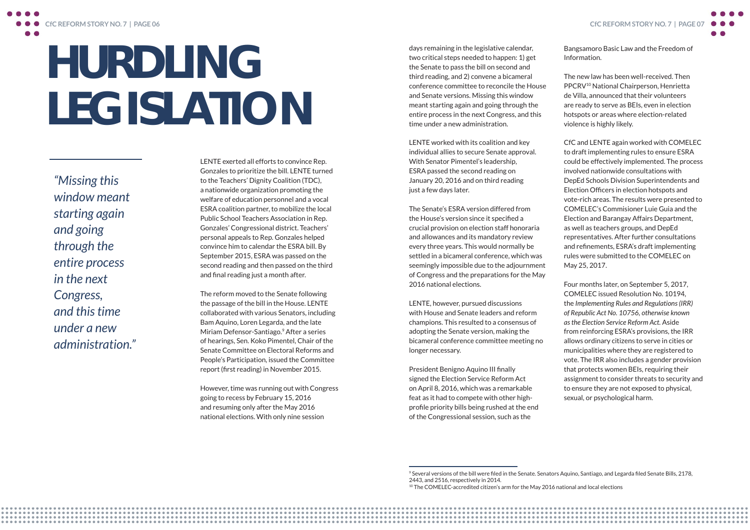LENTE exerted all efforts to convince Rep. Gonzales to prioritize the bill. LENTE turned to the Teachers' Dignity Coalition (TDC), a nationwide organization promoting the welfare of education personnel and a vocal ESRA coalition partner, to mobilize the local Public School Teachers Association in Rep. Gonzales' Congressional district. Teachers' personal appeals to Rep. Gonzales helped convince him to calendar the ESRA bill. By September 2015, ESRA was passed on the second reading and then passed on the third and final reading just a month after.

The reform moved to the Senate following the passage of the bill in the House. LENTE collaborated with various Senators, including Bam Aquino, Loren Legarda, and the late Miriam Defensor-Santiago.<sup>9</sup> After a series of hearings, Sen. Koko Pimentel, Chair of the Senate Committee on Electoral Reforms and People's Participation, issued the Committee report (first reading) in November 2015.

However, time was running out with Congress going to recess by February 15, 2016 and resuming only after the May 2016 national elections. With only nine session

## HURDLING LEGISLATION

*"Missing this window meant starting again and going through the entire process in the next Congress, and this time under a new administration."* days remaining in the legislative calendar, two critical steps needed to happen: 1) get the Senate to pass the bill on second and third reading, and 2) convene a bicameral conference committee to reconcile the House and Senate versions. Missing this window meant starting again and going through the entire process in the next Congress, and this time under a new administration.

LENTE worked with its coalition and key individual allies to secure Senate approval. With Senator Pimentel's leadership, ESRA passed the second reading on January 20, 2016 and on third reading just a few days later.

The Senate's ESRA version differed from the House's version since it specified a crucial provision on election staff honoraria and allowances and its mandatory review every three years. This would normally be settled in a bicameral conference, which was seemingly impossible due to the adjournment of Congress and the preparations for the May 2016 national elections.

LENTE, however, pursued discussions with House and Senate leaders and reform champions. This resulted to a consensus of adopting the Senate version, making the bicameral conference committee meeting no longer necessary.

President Benigno Aquino III finally signed the Election Service Reform Act on April 8, 2016, which was a remarkable feat as it had to compete with other highprofile priority bills being rushed at the end of the Congressional session, such as the



The new law has been well-received. Then PPCRV10 National Chairperson, Henrietta de Villa, announced that their volunteers are ready to serve as BEIs, even in election hotspots or areas where election-related violence is highly likely.

CfC and LENTE again worked with COMELEC to draft implementing rules to ensure ESRA could be effectively implemented. The process involved nationwide consultations with DepEd Schools Division Superintendents and Election Officers in election hotspots and vote-rich areas. The results were presented to COMELEC's Commisioner Luie Guia and the Election and Barangay Affairs Department, as well as teachers groups, and DepEd representatives. After further consultations and refinements, ESRA's draft implementing rules were submitted to the COMELEC on May 25, 2017. Four months later, on September 5, 2017, COMELEC issued Resolution No. 10194, the *Implementing Rules and Regulations (IRR) of Republic Act No. 10756, otherwise known* 

*as the Election Service Reform Act.* Aside from reinforcing ESRA's provisions, the IRR allows ordinary citizens to serve in cities or municipalities where they are registered to vote. The IRR also includes a gender provision that protects women BEIs, requiring their assignment to consider threats to security and to ensure they are not exposed to physical, sexual, or psychological harm.

<sup>9</sup> Several versions of the bill were filed in the Senate. Senators Aquino, Santiago, and Legarda filed Senate Bills, 2178, 2443, and 2516, respectively in 2014. <sup>10</sup> The COMELEC-accredited citizen's arm for the May 2016 national and local elections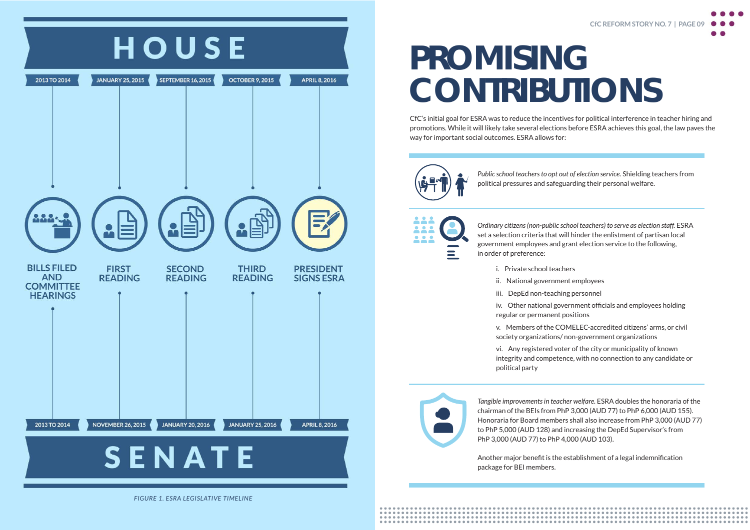*Public school teachers to opt out of election service.* Shielding teachers from political pressures and safeguarding their personal welfare.



*Ordinary citizens (non-public school teachers) to serve as election staff.* ESRA set a selection criteria that will hinder the enlistment of partisan local government employees and grant election service to the following, in order of preference:

### PROMISING **CONTRIBUTIONS**





*FIGURE 1. ESRA LEGISLATIVE TIMELINE* 

CfC's initial goal for ESRA was to reduce the incentives for political interference in teacher hiring and promotions. While it will likely take several elections before ESRA achieves this goal, the law paves the way for important social outcomes. ESRA allows for:



i. Private school teachers

ii. National government employees

iii. DepEd non-teaching personnel

regular or permanent positions

- 
- 
- 
- iv. Other national government officials and employees holding
- v. Members of the COMELEC-accredited citizens' arms, or civil society organizations/ non-government organizations
- vi. Any registered voter of the city or municipality of known integrity and competence, with no connection to any candidate or

political party



*Tangible improvements in teacher welfare.* ESRA doubles the honoraria of the chairman of the BEIs from PhP 3,000 (AUD 77) to PhP 6,000 (AUD 155). Honoraria for Board members shall also increase from PhP 3,000 (AUD 77) to PhP 5,000 (AUD 128) and increasing the DepEd Supervisor's from PhP 3,000 (AUD 77) to PhP 4,000 (AUD 103).

Another major benefit is the establishment of a legal indemnification package for BEI members.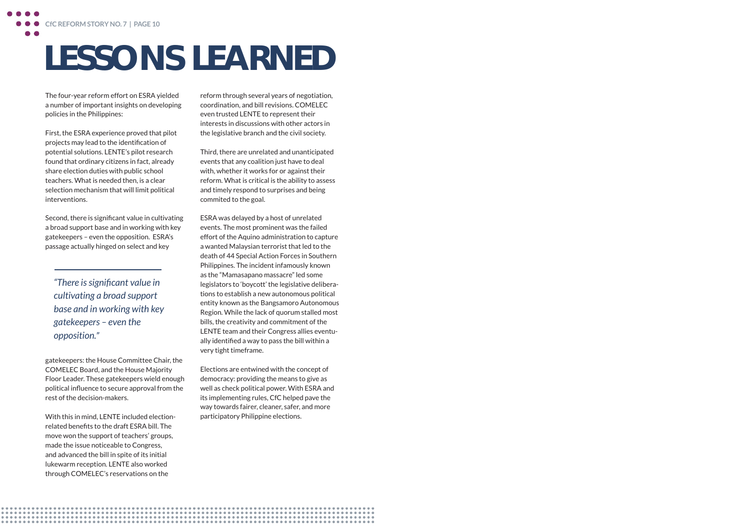gatekeepers: the House Committee Chair, the COMELEC Board, and the House Majority Floor Leader. These gatekeepers wield enough political influence to secure approval from the rest of the decision-makers.

With this in mind, LENTE included electionrelated benefits to the draft ESRA bill. The move won the support of teachers' groups, made the issue noticeable to Congress, and advanced the bill in spite of its initial lukewarm reception. LENTE also worked through COMELEC's reservations on the

The four-year reform effort on ESRA yielded a number of important insights on developing policies in the Philippines:

First, the ESRA experience proved that pilot projects may lead to the identification of potential solutions. LENTE's pilot research found that ordinary citizens in fact, already share election duties with public school teachers. What is needed then, is a clear selection mechanism that will limit political interventions.

Second, there is significant value in cultivating a broad support base and in working with key gatekeepers – even the opposition. ESRA's passage actually hinged on select and key

### LESSONS LEARNED

*"There is significant value in cultivating a broad support base and in working with key gatekeepers – even the opposition. "*

reform through several years of negotiation, coordination, and bill revisions. COMELEC even trusted LENTE to represent their interests in discussions with other actors in the legislative branch and the civil society.

Third, there are unrelated and unanticipated events that any coalition just have to deal with, whether it works for or against their reform. What is critical is the ability to assess and timely respond to surprises and being commited to the goal.

ESRA was delayed by a host of unrelated events. The most prominent was the failed effort of the Aquino administration to capture a wanted Malaysian terrorist that led to the death of 44 Special Action Forces in Southern Philippines. The incident infamously known as the "Mamasapano massacre" led some legislators to 'boycott' the legislative deliberations to establish a new autonomous political entity known as the Bangsamoro Autonomous Region. While the lack of quorum stalled most bills, the creativity and commitment of the LENTE team and their Congress allies eventually identified a way to pass the bill within a very tight timeframe.

Elections are entwined with the concept of democracy: providing the means to give as well as check political power. With ESRA and its implementing rules, CfC helped pave the way towards fairer, cleaner, safer, and more participatory Philippine elections.